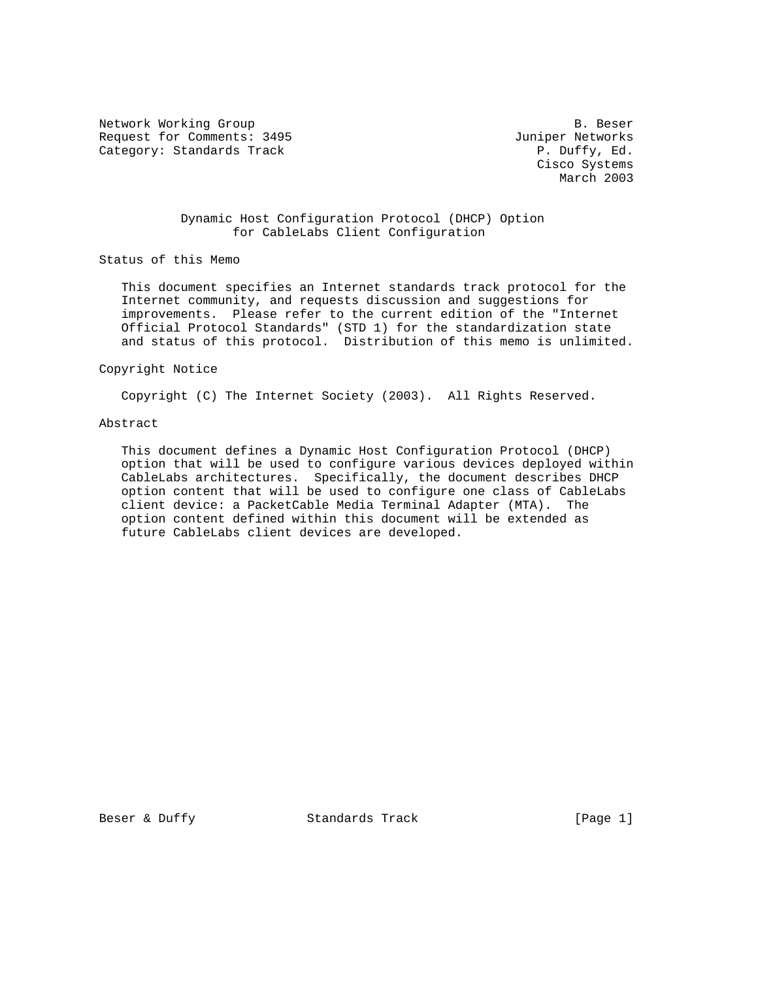Network Working Group and the set of the set of the set of the B. Beser Request for Comments: 3495 Juniper Networks Category: Standards Track

 Cisco Systems March 2003

## Dynamic Host Configuration Protocol (DHCP) Option for CableLabs Client Configuration

Status of this Memo

 This document specifies an Internet standards track protocol for the Internet community, and requests discussion and suggestions for improvements. Please refer to the current edition of the "Internet Official Protocol Standards" (STD 1) for the standardization state and status of this protocol. Distribution of this memo is unlimited.

#### Copyright Notice

Copyright (C) The Internet Society (2003). All Rights Reserved.

## Abstract

 This document defines a Dynamic Host Configuration Protocol (DHCP) option that will be used to configure various devices deployed within CableLabs architectures. Specifically, the document describes DHCP option content that will be used to configure one class of CableLabs client device: a PacketCable Media Terminal Adapter (MTA). The option content defined within this document will be extended as future CableLabs client devices are developed.

Beser & Duffy Standards Track [Page 1]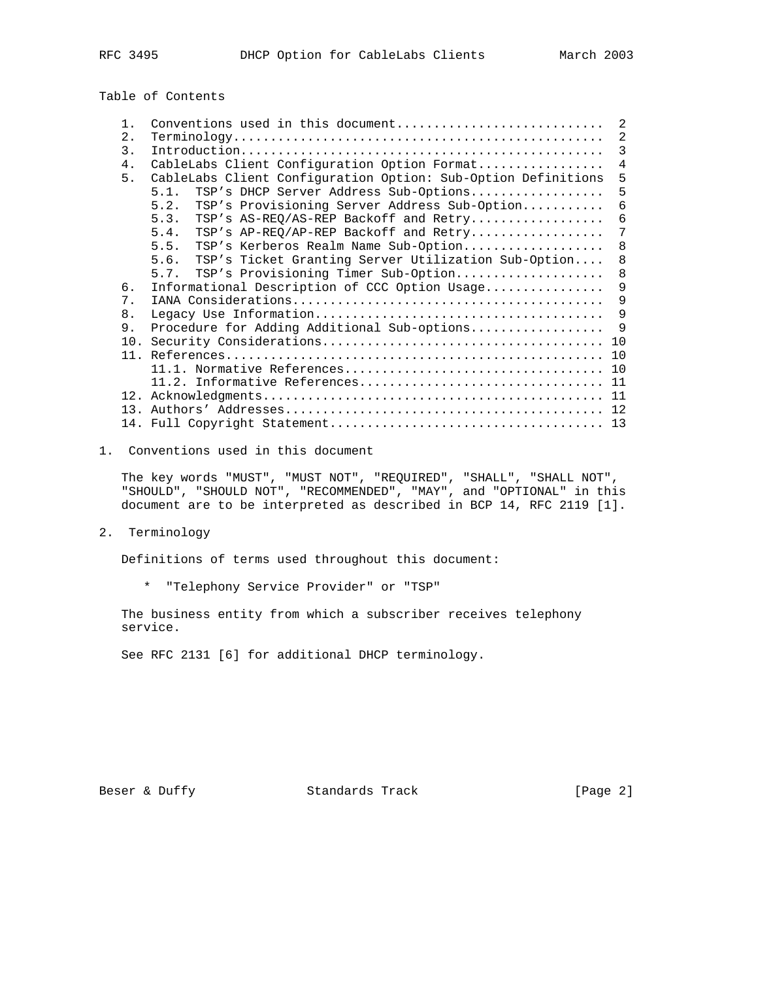Table of Contents

|                |                                                               | 2              |
|----------------|---------------------------------------------------------------|----------------|
| $1$ .          | Conventions used in this document                             |                |
| 2.             |                                                               | $\overline{2}$ |
| 3.             |                                                               | 3              |
| 4.             | CableLabs Client Configuration Option Format                  | $\overline{4}$ |
| 5.             | CableLabs Client Configuration Option: Sub-Option Definitions | 5              |
|                | TSP's DHCP Server Address Sub-Options<br>5.1.                 | 5              |
|                | TSP's Provisioning Server Address Sub-Option<br>5.2.          | 6              |
|                | TSP's AS-REQ/AS-REP Backoff and Retry<br>5.3.                 | 6              |
|                | TSP's AP-REQ/AP-REP Backoff and Retry<br>5.4.                 | 7              |
|                | TSP's Kerberos Realm Name Sub-Option<br>5.5.                  | 8              |
|                | TSP's Ticket Granting Server Utilization Sub-Option<br>5.6.   | 8              |
|                |                                                               |                |
|                | TSP's Provisioning Timer Sub-Option<br>5.7.                   | 8              |
| 6.             | Informational Description of CCC Option Usage                 | 9              |
| 7.             |                                                               | 9              |
| 8 <sub>1</sub> |                                                               | 9              |
| 9.             | Procedure for Adding Additional Sub-options                   | $\mathsf{Q}$   |
|                |                                                               | 10             |
|                |                                                               | 10             |
|                |                                                               | 10             |
|                | 11.2. Informative References                                  | 11             |
|                |                                                               |                |
|                |                                                               |                |
|                |                                                               |                |
|                |                                                               | 13             |

1. Conventions used in this document

 The key words "MUST", "MUST NOT", "REQUIRED", "SHALL", "SHALL NOT", "SHOULD", "SHOULD NOT", "RECOMMENDED", "MAY", and "OPTIONAL" in this document are to be interpreted as described in BCP 14, RFC 2119 [1].

2. Terminology

Definitions of terms used throughout this document:

\* "Telephony Service Provider" or "TSP"

 The business entity from which a subscriber receives telephony service.

See RFC 2131 [6] for additional DHCP terminology.

Beser & Duffy Standards Track [Page 2]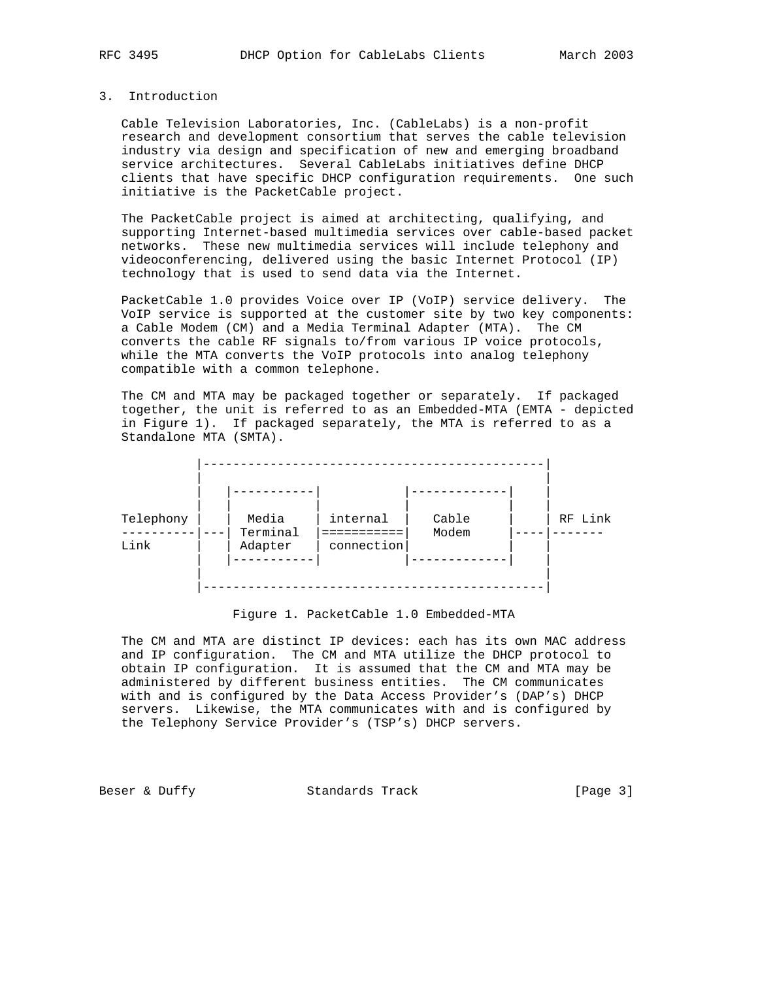### 3. Introduction

 Cable Television Laboratories, Inc. (CableLabs) is a non-profit research and development consortium that serves the cable television industry via design and specification of new and emerging broadband service architectures. Several CableLabs initiatives define DHCP clients that have specific DHCP configuration requirements. One such initiative is the PacketCable project.

 The PacketCable project is aimed at architecting, qualifying, and supporting Internet-based multimedia services over cable-based packet networks. These new multimedia services will include telephony and videoconferencing, delivered using the basic Internet Protocol (IP) technology that is used to send data via the Internet.

 PacketCable 1.0 provides Voice over IP (VoIP) service delivery. The VoIP service is supported at the customer site by two key components: a Cable Modem (CM) and a Media Terminal Adapter (MTA). The CM converts the cable RF signals to/from various IP voice protocols, while the MTA converts the VoIP protocols into analog telephony compatible with a common telephone.

 The CM and MTA may be packaged together or separately. If packaged together, the unit is referred to as an Embedded-MTA (EMTA - depicted in Figure 1). If packaged separately, the MTA is referred to as a Standalone MTA (SMTA).



Figure 1. PacketCable 1.0 Embedded-MTA

 The CM and MTA are distinct IP devices: each has its own MAC address and IP configuration. The CM and MTA utilize the DHCP protocol to obtain IP configuration. It is assumed that the CM and MTA may be administered by different business entities. The CM communicates with and is configured by the Data Access Provider's (DAP's) DHCP servers. Likewise, the MTA communicates with and is configured by the Telephony Service Provider's (TSP's) DHCP servers.

Beser & Duffy Standards Track [Page 3]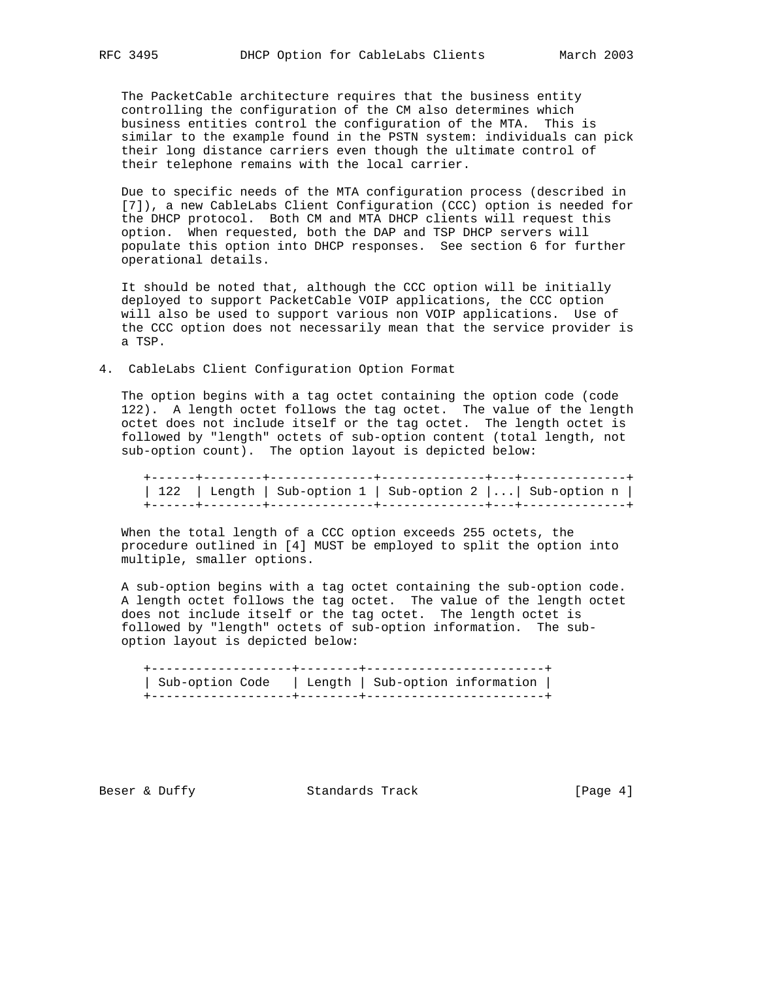The PacketCable architecture requires that the business entity controlling the configuration of the CM also determines which business entities control the configuration of the MTA. This is similar to the example found in the PSTN system: individuals can pick their long distance carriers even though the ultimate control of their telephone remains with the local carrier.

 Due to specific needs of the MTA configuration process (described in [7]), a new CableLabs Client Configuration (CCC) option is needed for the DHCP protocol. Both CM and MTA DHCP clients will request this option. When requested, both the DAP and TSP DHCP servers will populate this option into DHCP responses. See section 6 for further operational details.

 It should be noted that, although the CCC option will be initially deployed to support PacketCable VOIP applications, the CCC option will also be used to support various non VOIP applications. Use of the CCC option does not necessarily mean that the service provider is a TSP.

4. CableLabs Client Configuration Option Format

 The option begins with a tag octet containing the option code (code 122). A length octet follows the tag octet. The value of the length octet does not include itself or the tag octet. The length octet is followed by "length" octets of sub-option content (total length, not sub-option count). The option layout is depicted below:

 +------+--------+--------------+--------------+---+--------------+ | 122 | Length | Sub-option 1 | Sub-option 2 |...| Sub-option n | +------+--------+--------------+--------------+---+--------------+

 When the total length of a CCC option exceeds 255 octets, the procedure outlined in [4] MUST be employed to split the option into multiple, smaller options.

 A sub-option begins with a tag octet containing the sub-option code. A length octet follows the tag octet. The value of the length octet does not include itself or the tag octet. The length octet is followed by "length" octets of sub-option information. The sub option layout is depicted below:

| Sub-option Code   Length   Sub-option information |  |  |
|---------------------------------------------------|--|--|
|                                                   |  |  |

Beser & Duffy Standards Track [Page 4]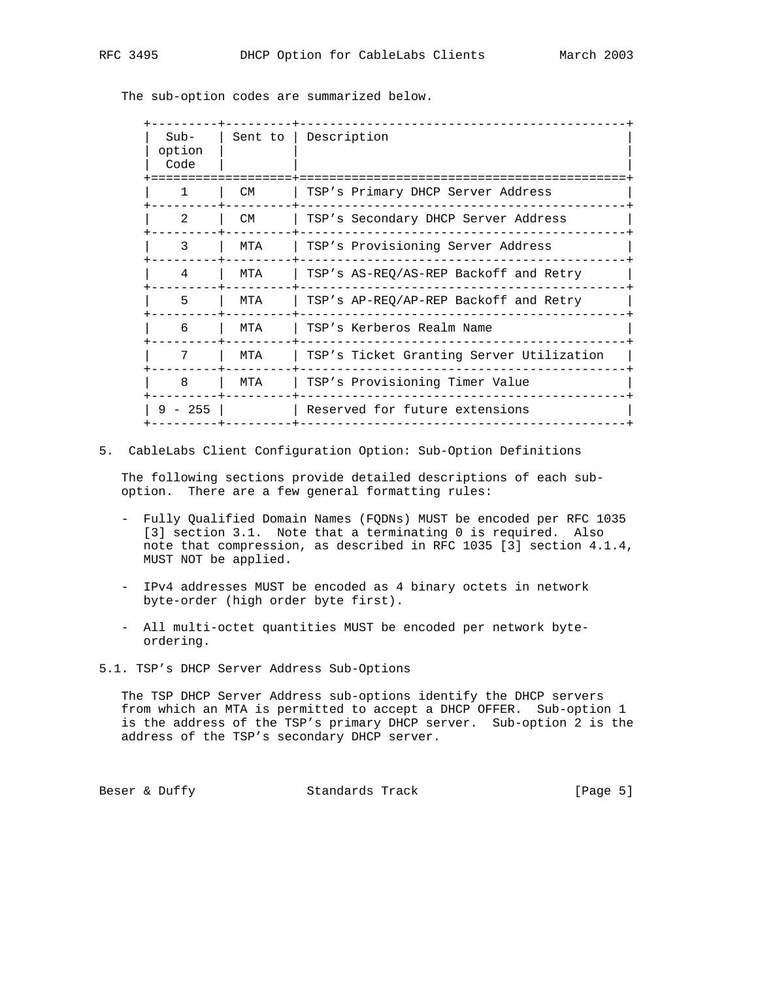The sub-option codes are summarized below.

| $Sub-$<br>option<br>Code | Sent to I | Description                              |
|--------------------------|-----------|------------------------------------------|
| $\mathbf{1}$             | CM.       | TSP's Primary DHCP Server Address        |
| $\mathfrak{D}$           | CM.       | TSP's Secondary DHCP Server Address      |
| 3                        | MTA       | TSP's Provisioning Server Address        |
| 4                        | MTA       | TSP's AS-REQ/AS-REP Backoff and Retry    |
| 5                        | MTA       | TSP's AP-REQ/AP-REP Backoff and Retry    |
| 6                        | MTA       | TSP's Kerberos Realm Name                |
| 7                        | MTA       | TSP's Ticket Granting Server Utilization |
| 8                        | MTA       | TSP's Provisioning Timer Value           |
| $9 - 255$                |           | Reserved for future extensions           |

5. CableLabs Client Configuration Option: Sub-Option Definitions

 The following sections provide detailed descriptions of each sub option. There are a few general formatting rules:

- Fully Qualified Domain Names (FQDNs) MUST be encoded per RFC 1035 [3] section 3.1. Note that a terminating 0 is required. Also note that compression, as described in RFC 1035 [3] section 4.1.4, MUST NOT be applied.
- IPv4 addresses MUST be encoded as 4 binary octets in network byte-order (high order byte first).
- All multi-octet quantities MUST be encoded per network byte ordering.
- 5.1. TSP's DHCP Server Address Sub-Options

 The TSP DHCP Server Address sub-options identify the DHCP servers from which an MTA is permitted to accept a DHCP OFFER. Sub-option 1 is the address of the TSP's primary DHCP server. Sub-option 2 is the address of the TSP's secondary DHCP server.

Beser & Duffy Standards Track [Page 5]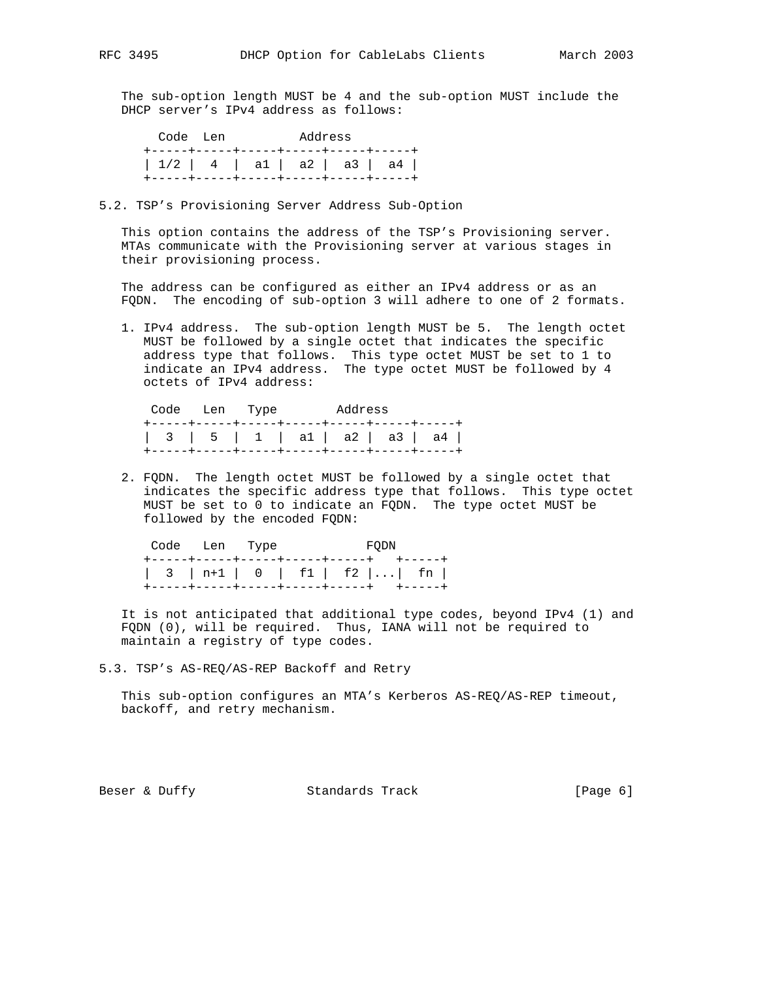The sub-option length MUST be 4 and the sub-option MUST include the DHCP server's IPv4 address as follows:

 Code Len Address +-----+-----+-----+-----+-----+-----+ | 1/2 | 4 | a1 | a2 | a3 | a4 | +-----+-----+-----+-----+-----+-----+

5.2. TSP's Provisioning Server Address Sub-Option

 This option contains the address of the TSP's Provisioning server. MTAs communicate with the Provisioning server at various stages in their provisioning process.

 The address can be configured as either an IPv4 address or as an FQDN. The encoding of sub-option 3 will adhere to one of 2 formats.

 1. IPv4 address. The sub-option length MUST be 5. The length octet MUST be followed by a single octet that indicates the specific address type that follows. This type octet MUST be set to 1 to indicate an IPv4 address. The type octet MUST be followed by 4 octets of IPv4 address:

| Code Len Type |  | Address |  |  |                               |  |  |
|---------------|--|---------|--|--|-------------------------------|--|--|
|               |  |         |  |  | 3   5   1   a1   a2   a3   a4 |  |  |
|               |  |         |  |  |                               |  |  |

 2. FQDN. The length octet MUST be followed by a single octet that indicates the specific address type that follows. This type octet MUST be set to 0 to indicate an FQDN. The type octet MUST be followed by the encoded FQDN:

|  | Code Len Type                             |  | <b>EXECUTE: PROPER</b> |  |  |  |  |  |
|--|-------------------------------------------|--|------------------------|--|--|--|--|--|
|  | +-----+-----+-----+-----+------+  +-----+ |  |                        |  |  |  |  |  |
|  | $\vert$ 3   n+1   0   f1   f2     fn      |  |                        |  |  |  |  |  |
|  | +-----+-----+-----+-----+-----+ +----+    |  |                        |  |  |  |  |  |

 It is not anticipated that additional type codes, beyond IPv4 (1) and FQDN (0), will be required. Thus, IANA will not be required to maintain a registry of type codes.

5.3. TSP's AS-REQ/AS-REP Backoff and Retry

 This sub-option configures an MTA's Kerberos AS-REQ/AS-REP timeout, backoff, and retry mechanism.

Beser & Duffy Standards Track [Page 6]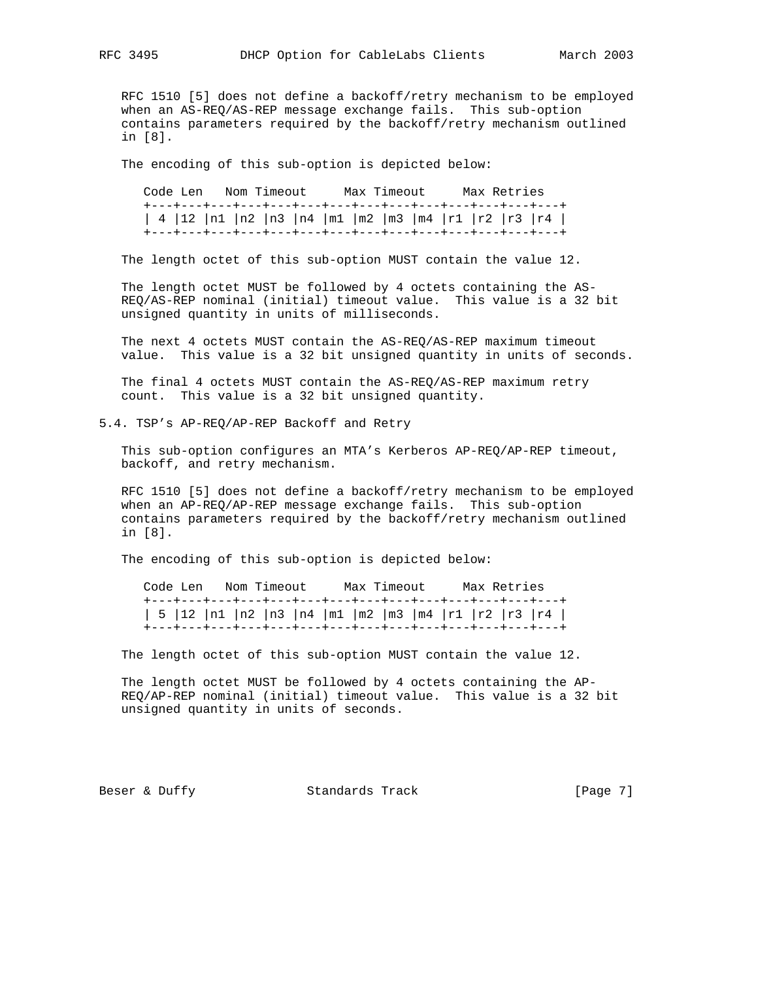RFC 1510 [5] does not define a backoff/retry mechanism to be employed when an AS-REQ/AS-REP message exchange fails. This sub-option contains parameters required by the backoff/retry mechanism outlined in [8].

The encoding of this sub-option is depicted below:

 Code Len Nom Timeout Max Timeout Max Retries +---+---+---+---+---+---+---+---+---+---+---+---+---+---+ | 4 |12 |n1 |n2 |n3 |n4 |m1 |m2 |m3 |m4 |r1 |r2 |r3 |r4 | +---+---+---+---+---+---+---+---+---+---+---+---+---+---+

The length octet of this sub-option MUST contain the value 12.

 The length octet MUST be followed by 4 octets containing the AS- REQ/AS-REP nominal (initial) timeout value. This value is a 32 bit unsigned quantity in units of milliseconds.

 The next 4 octets MUST contain the AS-REQ/AS-REP maximum timeout value. This value is a 32 bit unsigned quantity in units of seconds.

 The final 4 octets MUST contain the AS-REQ/AS-REP maximum retry count. This value is a 32 bit unsigned quantity.

5.4. TSP's AP-REQ/AP-REP Backoff and Retry

 This sub-option configures an MTA's Kerberos AP-REQ/AP-REP timeout, backoff, and retry mechanism.

 RFC 1510 [5] does not define a backoff/retry mechanism to be employed when an AP-REQ/AP-REP message exchange fails. This sub-option contains parameters required by the backoff/retry mechanism outlined in [8].

The encoding of this sub-option is depicted below:

 Code Len Nom Timeout Max Timeout Max Retries +---+---+---+---+---+---+---+---+---+---+---+---+---+---+ | 5 |12 |n1 |n2 |n3 |n4 |m1 |m2 |m3 |m4 |r1 |r2 |r3 |r4 | +---+---+---+---+---+---+---+---+---+---+---+---+---+---+

The length octet of this sub-option MUST contain the value 12.

 The length octet MUST be followed by 4 octets containing the AP- REQ/AP-REP nominal (initial) timeout value. This value is a 32 bit unsigned quantity in units of seconds.

Beser & Duffy Standards Track [Page 7]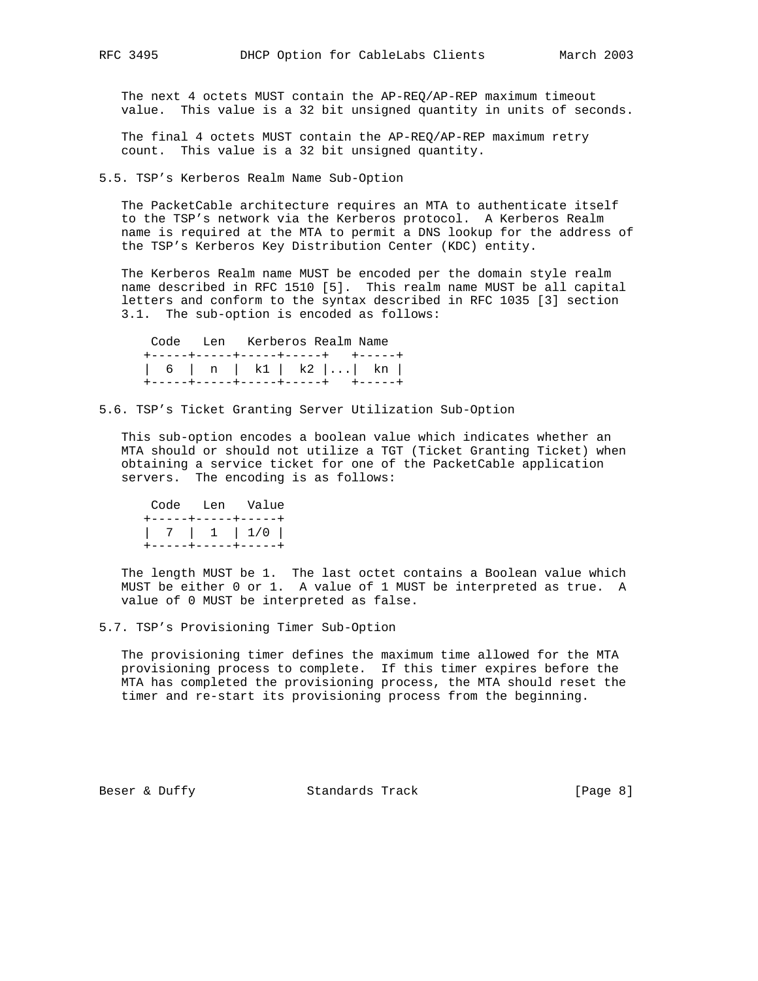The next 4 octets MUST contain the AP-REQ/AP-REP maximum timeout value. This value is a 32 bit unsigned quantity in units of seconds.

 The final 4 octets MUST contain the AP-REQ/AP-REP maximum retry count. This value is a 32 bit unsigned quantity.

5.5. TSP's Kerberos Realm Name Sub-Option

 The PacketCable architecture requires an MTA to authenticate itself to the TSP's network via the Kerberos protocol. A Kerberos Realm name is required at the MTA to permit a DNS lookup for the address of the TSP's Kerberos Key Distribution Center (KDC) entity.

 The Kerberos Realm name MUST be encoded per the domain style realm name described in RFC 1510 [5]. This realm name MUST be all capital letters and conform to the syntax described in RFC 1035 [3] section 3.1. The sub-option is encoded as follows:

 Code Len Kerberos Realm Name +-----+-----+-----+-----+ +-----+ | 6 | n | k1 | k2 |...| kn | +-----+-----+-----+-----+ +-----+

5.6. TSP's Ticket Granting Server Utilization Sub-Option

 This sub-option encodes a boolean value which indicates whether an MTA should or should not utilize a TGT (Ticket Granting Ticket) when obtaining a service ticket for one of the PacketCable application servers. The encoding is as follows:

```
 Code Len Value
+-----+-----+-----+
| 7 | 1 | 1/0 |
+-----+-----+-----+
```
 The length MUST be 1. The last octet contains a Boolean value which MUST be either 0 or 1. A value of 1 MUST be interpreted as true. A value of 0 MUST be interpreted as false.

5.7. TSP's Provisioning Timer Sub-Option

 The provisioning timer defines the maximum time allowed for the MTA provisioning process to complete. If this timer expires before the MTA has completed the provisioning process, the MTA should reset the timer and re-start its provisioning process from the beginning.

Beser & Duffy Standards Track [Page 8]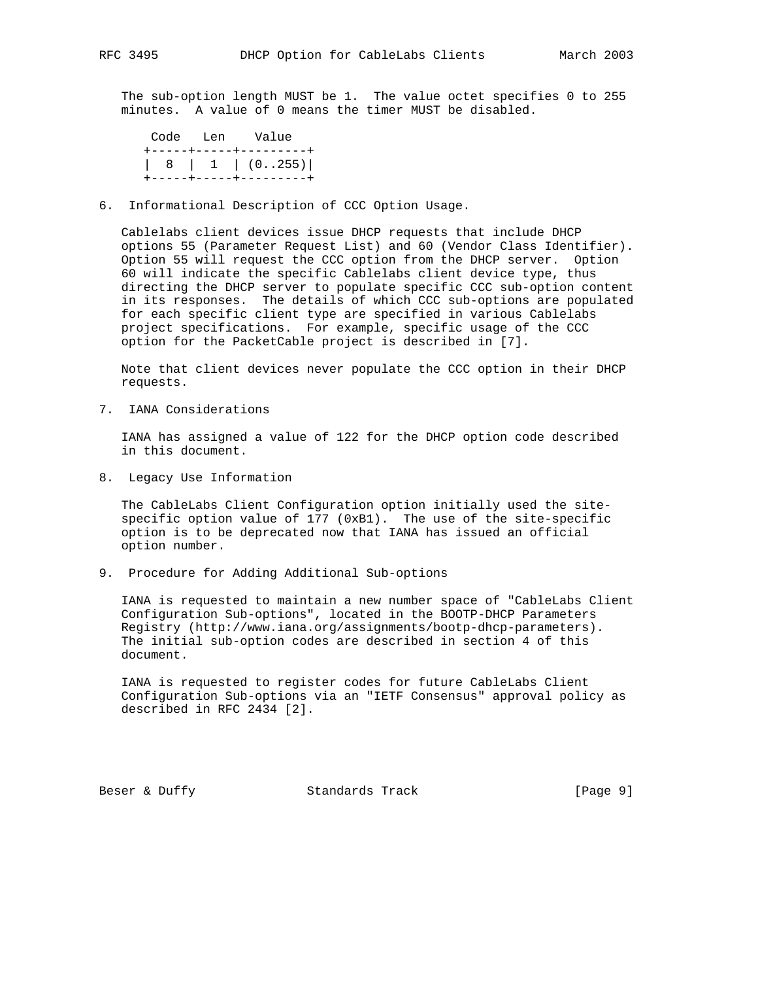The sub-option length MUST be 1. The value octet specifies 0 to 255 minutes. A value of 0 means the timer MUST be disabled.

 Code Len Value +-----+-----+---------+ | 8 | 1 | (0..255)| +-----+-----+---------+

6. Informational Description of CCC Option Usage.

 Cablelabs client devices issue DHCP requests that include DHCP options 55 (Parameter Request List) and 60 (Vendor Class Identifier). Option 55 will request the CCC option from the DHCP server. Option 60 will indicate the specific Cablelabs client device type, thus directing the DHCP server to populate specific CCC sub-option content in its responses. The details of which CCC sub-options are populated for each specific client type are specified in various Cablelabs project specifications. For example, specific usage of the CCC option for the PacketCable project is described in [7].

 Note that client devices never populate the CCC option in their DHCP requests.

7. IANA Considerations

 IANA has assigned a value of 122 for the DHCP option code described in this document.

8. Legacy Use Information

 The CableLabs Client Configuration option initially used the site specific option value of 177 (0xB1). The use of the site-specific option is to be deprecated now that IANA has issued an official option number.

9. Procedure for Adding Additional Sub-options

 IANA is requested to maintain a new number space of "CableLabs Client Configuration Sub-options", located in the BOOTP-DHCP Parameters Registry (http://www.iana.org/assignments/bootp-dhcp-parameters). The initial sub-option codes are described in section 4 of this document.

 IANA is requested to register codes for future CableLabs Client Configuration Sub-options via an "IETF Consensus" approval policy as described in RFC 2434 [2].

Beser & Duffy Standards Track [Page 9]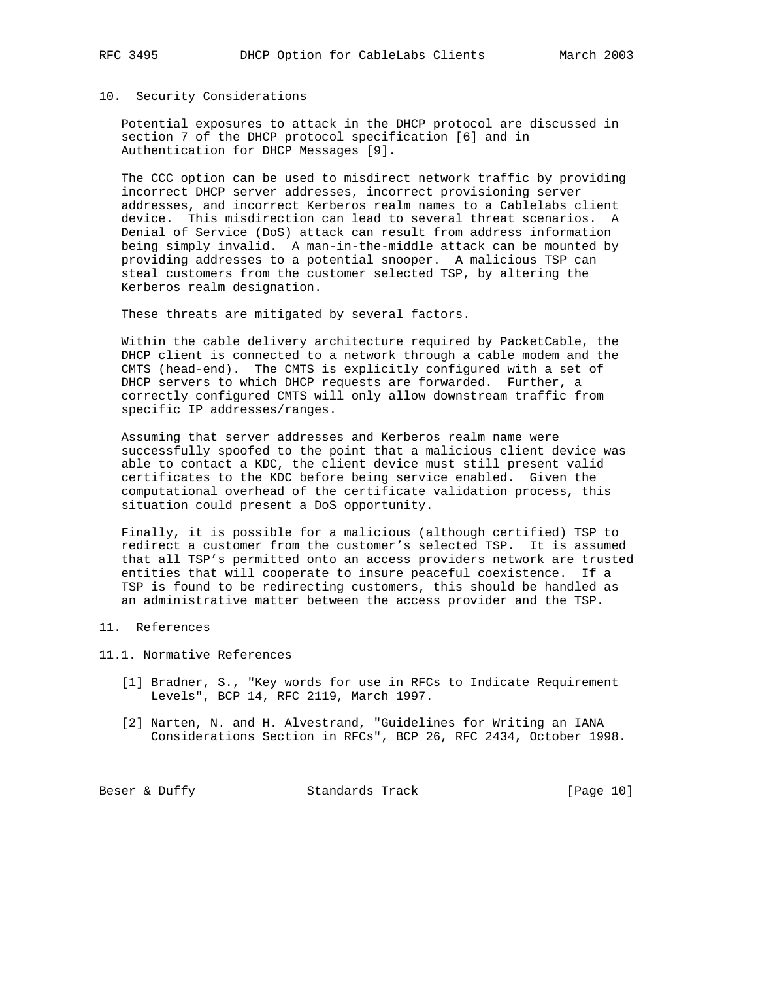#### 10. Security Considerations

 Potential exposures to attack in the DHCP protocol are discussed in section 7 of the DHCP protocol specification [6] and in Authentication for DHCP Messages [9].

 The CCC option can be used to misdirect network traffic by providing incorrect DHCP server addresses, incorrect provisioning server addresses, and incorrect Kerberos realm names to a Cablelabs client device. This misdirection can lead to several threat scenarios. A Denial of Service (DoS) attack can result from address information being simply invalid. A man-in-the-middle attack can be mounted by providing addresses to a potential snooper. A malicious TSP can steal customers from the customer selected TSP, by altering the Kerberos realm designation.

These threats are mitigated by several factors.

 Within the cable delivery architecture required by PacketCable, the DHCP client is connected to a network through a cable modem and the CMTS (head-end). The CMTS is explicitly configured with a set of DHCP servers to which DHCP requests are forwarded. Further, a correctly configured CMTS will only allow downstream traffic from specific IP addresses/ranges.

 Assuming that server addresses and Kerberos realm name were successfully spoofed to the point that a malicious client device was able to contact a KDC, the client device must still present valid certificates to the KDC before being service enabled. Given the computational overhead of the certificate validation process, this situation could present a DoS opportunity.

 Finally, it is possible for a malicious (although certified) TSP to redirect a customer from the customer's selected TSP. It is assumed that all TSP's permitted onto an access providers network are trusted entities that will cooperate to insure peaceful coexistence. If a TSP is found to be redirecting customers, this should be handled as an administrative matter between the access provider and the TSP.

### 11. References

11.1. Normative References

- [1] Bradner, S., "Key words for use in RFCs to Indicate Requirement Levels", BCP 14, RFC 2119, March 1997.
- [2] Narten, N. and H. Alvestrand, "Guidelines for Writing an IANA Considerations Section in RFCs", BCP 26, RFC 2434, October 1998.

Beser & Duffy Standards Track [Page 10]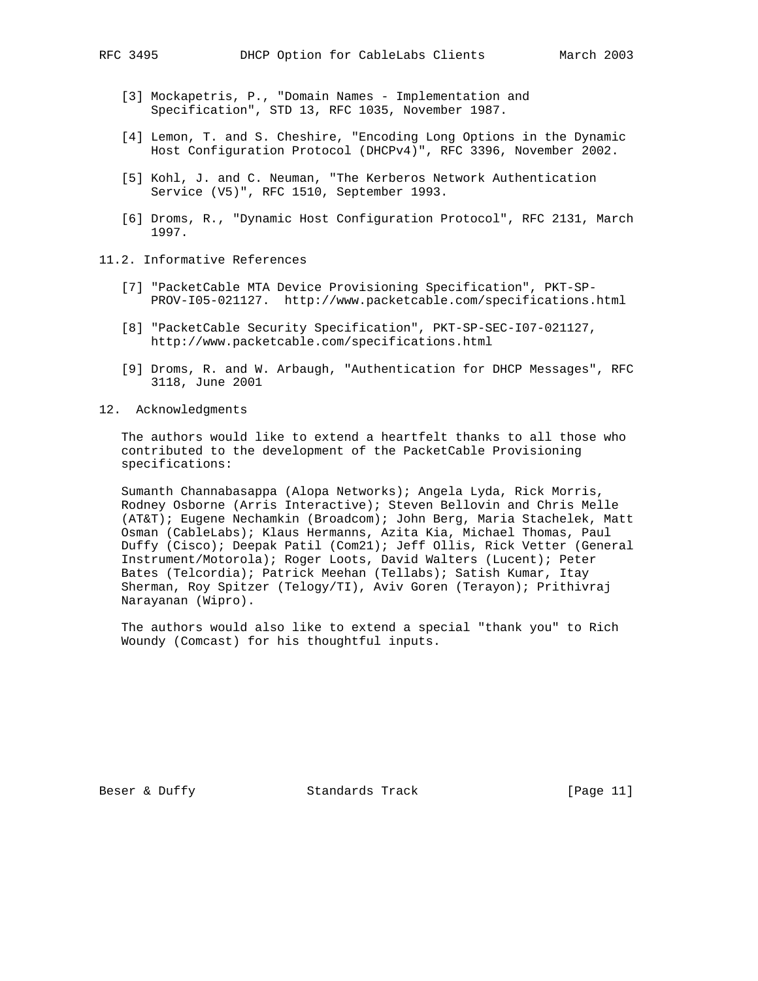- [3] Mockapetris, P., "Domain Names Implementation and Specification", STD 13, RFC 1035, November 1987.
- [4] Lemon, T. and S. Cheshire, "Encoding Long Options in the Dynamic Host Configuration Protocol (DHCPv4)", RFC 3396, November 2002.
- [5] Kohl, J. and C. Neuman, "The Kerberos Network Authentication Service (V5)", RFC 1510, September 1993.
- [6] Droms, R., "Dynamic Host Configuration Protocol", RFC 2131, March 1997.
- 11.2. Informative References
	- [7] "PacketCable MTA Device Provisioning Specification", PKT-SP- PROV-I05-021127. http://www.packetcable.com/specifications.html
	- [8] "PacketCable Security Specification", PKT-SP-SEC-I07-021127, http://www.packetcable.com/specifications.html
	- [9] Droms, R. and W. Arbaugh, "Authentication for DHCP Messages", RFC 3118, June 2001
- 12. Acknowledgments

 The authors would like to extend a heartfelt thanks to all those who contributed to the development of the PacketCable Provisioning specifications:

 Sumanth Channabasappa (Alopa Networks); Angela Lyda, Rick Morris, Rodney Osborne (Arris Interactive); Steven Bellovin and Chris Melle (AT&T); Eugene Nechamkin (Broadcom); John Berg, Maria Stachelek, Matt Osman (CableLabs); Klaus Hermanns, Azita Kia, Michael Thomas, Paul Duffy (Cisco); Deepak Patil (Com21); Jeff Ollis, Rick Vetter (General Instrument/Motorola); Roger Loots, David Walters (Lucent); Peter Bates (Telcordia); Patrick Meehan (Tellabs); Satish Kumar, Itay Sherman, Roy Spitzer (Telogy/TI), Aviv Goren (Terayon); Prithivraj Narayanan (Wipro).

 The authors would also like to extend a special "thank you" to Rich Woundy (Comcast) for his thoughtful inputs.

Beser & Duffy Standards Track [Page 11]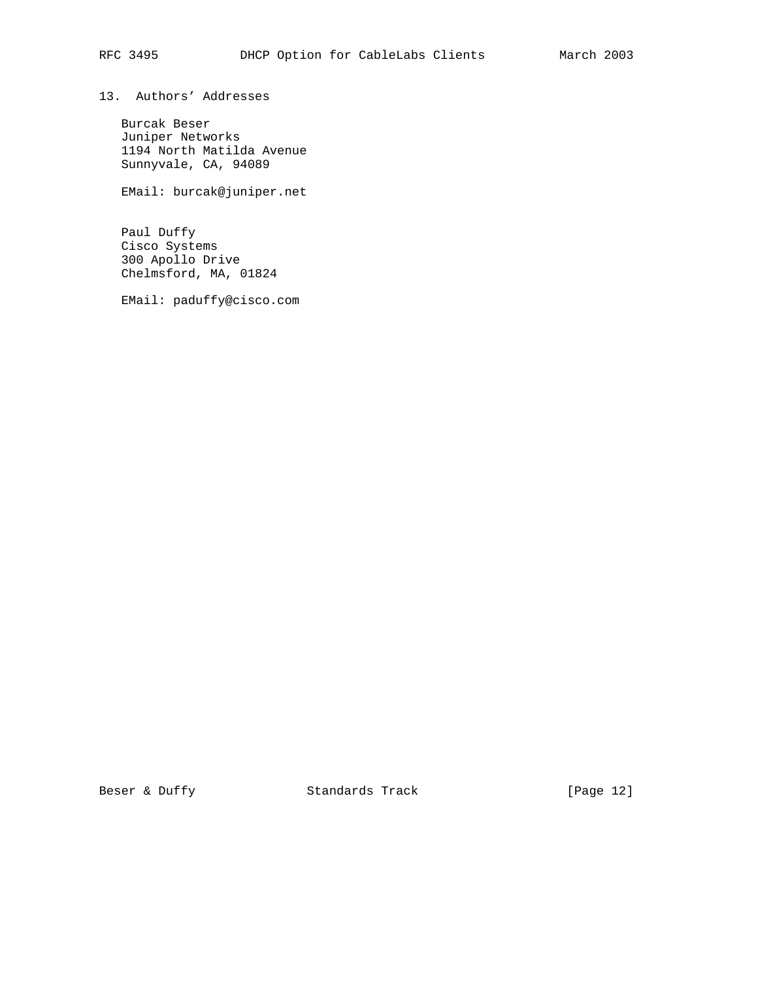13. Authors' Addresses

 Burcak Beser Juniper Networks 1194 North Matilda Avenue Sunnyvale, CA, 94089

EMail: burcak@juniper.net

 Paul Duffy Cisco Systems 300 Apollo Drive Chelmsford, MA, 01824

EMail: paduffy@cisco.com

Beser & Duffy Standards Track [Page 12]